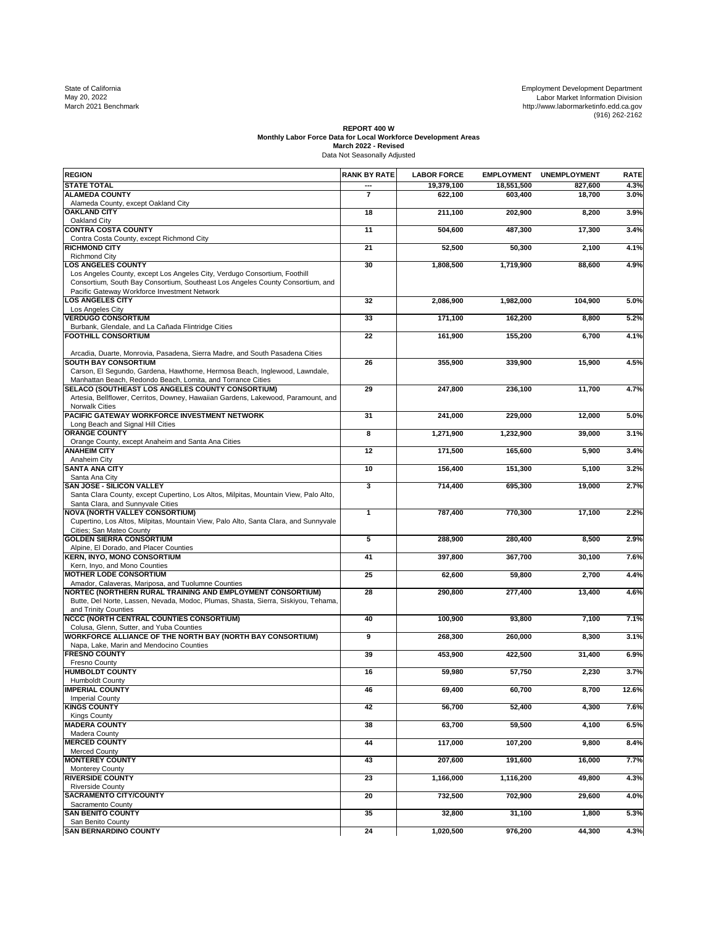State of California Employment Development Department May 20, 2022 Labor Market Information Division March 2021 Benchmark http://www.labormarketinfo.edd.ca.gov (916) 262-2162

## **REPORT 400 W Monthly Labor Force Data for Local Workforce Development Areas March 2022 - Revised** Data Not Seasonally Adjusted

| <b>REGION</b>                                                                                                                 | <b>RANK BY RATE</b> | <b>LABOR FORCE</b> | <b>EMPLOYMENT</b>   | <b>UNEMPLOYMENT</b> | <b>RATE</b> |
|-------------------------------------------------------------------------------------------------------------------------------|---------------------|--------------------|---------------------|---------------------|-------------|
| <b>STATE TOTAL</b>                                                                                                            |                     | 19,379,100         | 18,551,500          | 827,600             | 4.3%        |
| <b>ALAMEDA COUNTY</b>                                                                                                         | $\overline{7}$      | 622,100            | 603,400             | 18,700              | 3.0%        |
| Alameda County, except Oakland City                                                                                           |                     |                    |                     |                     |             |
| <b>OAKLAND CITY</b><br>Oakland City                                                                                           | $\overline{18}$     | 211,100            | 202,900             | 8,200               | 3.9%        |
| <b>CONTRA COSTA COUNTY</b>                                                                                                    | 11                  | 504,600            | 487,300             | 17,300              | 3.4%        |
| Contra Costa County, except Richmond City                                                                                     |                     |                    |                     |                     |             |
| <b>IRICHMOND CITY</b>                                                                                                         | $\overline{21}$     | 52,500             | 50,300              | 2,100               | 4.1%        |
| <b>Richmond City</b><br><b>LOS ANGELES COUNTY</b>                                                                             |                     |                    |                     |                     |             |
| Los Angeles County, except Los Angeles City, Verdugo Consortium, Foothill                                                     | 30                  | 1,808,500          | 1,719,900           | 88,600              | 4.9%        |
| Consortium, South Bay Consortium, Southeast Los Angeles County Consortium, and                                                |                     |                    |                     |                     |             |
| Pacific Gateway Workforce Investment Network                                                                                  |                     |                    |                     |                     |             |
| <b>LOS ANGELES CITY</b>                                                                                                       | 32                  | 2,086,900          | 1,982,000           | 104,900             | 5.0%        |
| Los Angeles City                                                                                                              |                     |                    |                     |                     |             |
| <b>VERDUGO CONSORTIUM</b>                                                                                                     | 33                  | 171,100            | 162,200             | 8,800               | 5.2%        |
| Burbank, Glendale, and La Cañada Flintridge Cities<br><b>FOOTHILL CONSORTIUM</b>                                              | $\overline{22}$     | 161,900            | 155,200             | 6,700               | 4.1%        |
|                                                                                                                               |                     |                    |                     |                     |             |
| Arcadia, Duarte, Monrovia, Pasadena, Sierra Madre, and South Pasadena Cities                                                  |                     |                    |                     |                     |             |
| <b>SOUTH BAY CONSORTIUM</b>                                                                                                   | 26                  | 355,900            | 339,900             | 15,900              | 4.5%        |
| Carson, El Segundo, Gardena, Hawthorne, Hermosa Beach, Inglewood, Lawndale,                                                   |                     |                    |                     |                     |             |
| Manhattan Beach, Redondo Beach, Lomita, and Torrance Cities<br>SELACO (SOUTHEAST LOS ANGELES COUNTY CONSORTIUM)               |                     |                    |                     |                     |             |
| Artesia, Bellflower, Cerritos, Downey, Hawaiian Gardens, Lakewood, Paramount, and                                             | 29                  | 247,800            | 236,100             | 11,700              | 4.7%        |
| <b>Norwalk Cities</b>                                                                                                         |                     |                    |                     |                     |             |
| <b>PACIFIC GATEWAY WORKFORCE INVESTMENT NETWORK</b>                                                                           | 31                  | 241,000            | 229,000             | 12,000              | 5.0%        |
| Long Beach and Signal Hill Cities                                                                                             |                     |                    |                     |                     |             |
| <b>ORANGE COUNTY</b>                                                                                                          | 8                   | 1,271,900          | 1,232,900           | 39,000              | 3.1%        |
| Orange County, except Anaheim and Santa Ana Cities                                                                            |                     |                    |                     |                     |             |
| <b>ANAHEIM CITY</b><br>Anaheim City                                                                                           | $\overline{12}$     | 171,500            | 165,600             | 5,900               | 3.4%        |
| <b>SANTA ANA CITY</b>                                                                                                         | 10                  | 156,400            | 151,300             | 5,100               | 3.2%        |
| Santa Ana City                                                                                                                |                     |                    |                     |                     |             |
| <b>SAN JOSE - SILICON VALLEY</b>                                                                                              | 3                   | 714,400            | 695,300             | 19,000              | 2.7%        |
| Santa Clara County, except Cupertino, Los Altos, Milpitas, Mountain View, Palo Alto,                                          |                     |                    |                     |                     |             |
| Santa Clara, and Sunnyvale Cities                                                                                             |                     |                    |                     |                     |             |
| <b>NOVA (NORTH VALLEY CONSORTIUM)</b><br>Cupertino, Los Altos, Milpitas, Mountain View, Palo Alto, Santa Clara, and Sunnyvale | $\mathbf{1}$        | 787,400            | 770,300             | 17,100              | 2.2%        |
| Cities; San Mateo County                                                                                                      |                     |                    |                     |                     |             |
| <b>GOLDEN SIERRA CONSORTIUM</b>                                                                                               | 5                   | 288,900            | 280,400             | 8,500               | 2.9%        |
| Alpine, El Dorado, and Placer Counties                                                                                        |                     |                    |                     |                     |             |
| <b>KERN, INYO, MONO CONSORTIUM</b>                                                                                            | 41                  | 397,800            | 367,700             | 30,100              | 7.6%        |
| Kern, Inyo, and Mono Counties<br><b>MOTHER LODE CONSORTIUM</b>                                                                |                     |                    |                     |                     |             |
| Amador, Calaveras, Mariposa, and Tuolumne Counties                                                                            | 25                  | 62,600             | 59,800              | 2,700               | 4.4%        |
| NORTEC (NORTHERN RURAL TRAINING AND EMPLOYMENT CONSORTIUM)                                                                    | $\overline{28}$     | 290,800            | 277,400             | 13,400              | 4.6%        |
| Butte, Del Norte, Lassen, Nevada, Modoc, Plumas, Shasta, Sierra, Siskiyou, Tehama,                                            |                     |                    |                     |                     |             |
| and Trinity Counties                                                                                                          |                     |                    |                     |                     |             |
| <b>NCCC (NORTH CENTRAL COUNTIES CONSORTIUM)</b>                                                                               | 40                  | 100,900            | 93,800              | 7,100               | 7.1%        |
| Colusa, Glenn, Sutter, and Yuba Counties                                                                                      |                     |                    |                     |                     |             |
| <b>WORKFORCE ALLIANCE OF THE NORTH BAY (NORTH BAY CONSORTIUM)</b><br>Napa, Lake, Marin and Mendocino Counties                 | 9                   | 268,300            | 260,000             | 8,300               | 3.1%        |
| <b>FRESNO COUNTY</b>                                                                                                          | 39                  | 453,900            | 422,500             | 31,400              | 6.9%        |
| <b>Fresno County</b>                                                                                                          |                     |                    |                     |                     |             |
| <b>HUMBOLDT COUNTY</b>                                                                                                        | 16                  | 59,980             | 57,750              | 2,230               | 3.7%        |
| <b>Humboldt County</b>                                                                                                        |                     |                    |                     |                     |             |
| <b>IMPERIAL COUNTY</b>                                                                                                        | 46                  | 69,400             | 60,700              | 8,700               | 12.6%       |
| <b>Imperial County</b><br><b>KINGS COUNTY</b>                                                                                 | 42                  | 56,700             | $\overline{52,400}$ | 4,300               | 7.6%        |
| <b>Kings County</b>                                                                                                           |                     |                    |                     |                     |             |
| <b>MADERA COUNTY</b>                                                                                                          | 38                  | 63,700             | 59,500              | 4,100               | 6.5%        |
| Madera County                                                                                                                 |                     |                    |                     |                     |             |
| <b>MERCED COUNTY</b>                                                                                                          | 44                  | 117,000            | 107,200             | 9,800               | 8.4%        |
| <b>Merced County</b><br><b>MONTEREY COUNTY</b>                                                                                | 43                  | 207,600            | 191,600             | 16,000              | 7.7%        |
| <b>Monterey County</b>                                                                                                        |                     |                    |                     |                     |             |
| <b>RIVERSIDE COUNTY</b>                                                                                                       | 23                  | 1,166,000          | 1,116,200           | 49,800              | 4.3%        |
| <b>Riverside County</b>                                                                                                       |                     |                    |                     |                     |             |
| <b>SACRAMENTO CITY/COUNTY</b>                                                                                                 | 20                  | 732,500            | 702,900             | 29,600              | 4.0%        |
| Sacramento County                                                                                                             |                     |                    |                     |                     |             |
| <b>SAN BENITO COUNTY</b><br>San Benito County                                                                                 | 35                  | 32,800             | 31,100              | 1,800               | 5.3%        |
| <b>SAN BERNARDINO COUNTY</b>                                                                                                  | 24                  | 1,020,500          | 976,200             | 44,300              | 4.3%        |
|                                                                                                                               |                     |                    |                     |                     |             |